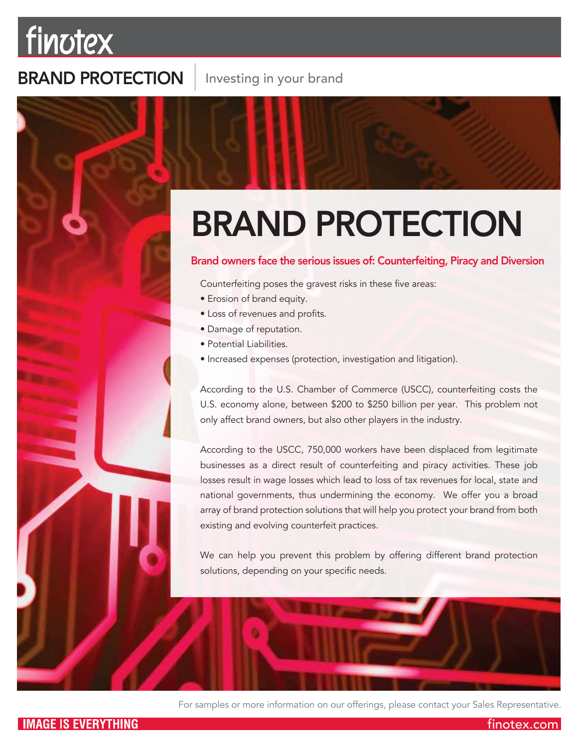## finotex

### BRAND PROTECTION

# BRAND PROTECTION

#### Brand owners face the serious issues of: Counterfeiting, Piracy and Diversion

Counterfeiting poses the gravest risks in these five areas:

- Erosion of brand equity.
- Loss of revenues and profits.
- Damage of reputation.
- Potential Liabilities.
- Increased expenses (protection, investigation and litigation).

According to the U.S. Chamber of Commerce (USCC), counterfeiting costs the U.S. economy alone, between \$200 to \$250 billion per year. This problem not only affect brand owners, but also other players in the industry.

According to the USCC, 750,000 workers have been displaced from legitimate businesses as a direct result of counterfeiting and piracy activities. These job losses result in wage losses which lead to loss of tax revenues for local, state and national governments, thus undermining the economy. We offer you a broad array of brand protection solutions that will help you protect your brand from both existing and evolving counterfeit practices.

We can help you prevent this problem by offering different brand protection solutions, depending on your specific needs.



finotex.com